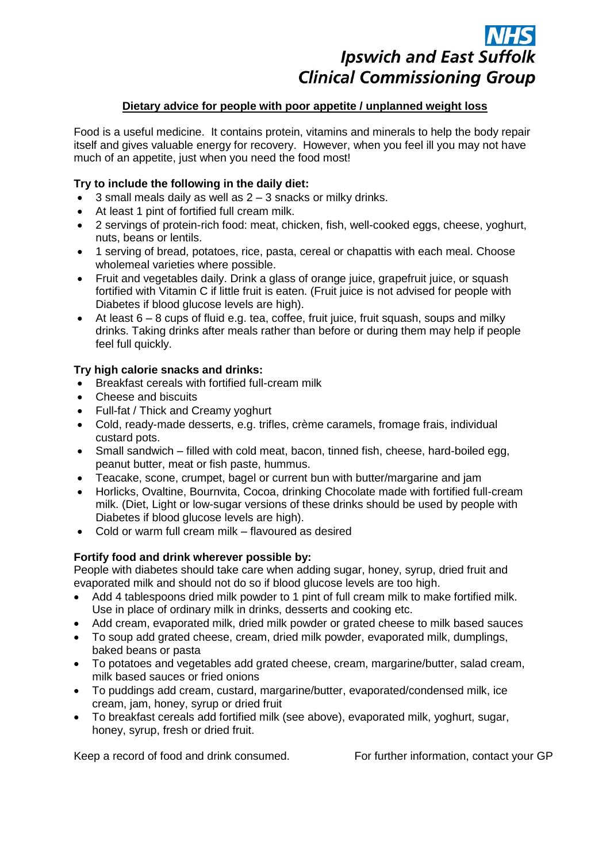# **Ipswich and East Suffolk Clinical Commissioning Group**

## **Dietary advice for people with poor appetite / unplanned weight loss**

Food is a useful medicine. It contains protein, vitamins and minerals to help the body repair itself and gives valuable energy for recovery. However, when you feel ill you may not have much of an appetite, just when you need the food most!

## **Try to include the following in the daily diet:**

- $\bullet$  3 small meals daily as well as  $2 3$  snacks or milky drinks.
- At least 1 pint of fortified full cream milk.
- 2 servings of protein-rich food: meat, chicken, fish, well-cooked eggs, cheese, yoghurt, nuts, beans or lentils.
- 1 serving of bread, potatoes, rice, pasta, cereal or chapattis with each meal. Choose wholemeal varieties where possible.
- Fruit and vegetables daily. Drink a glass of orange juice, grapefruit juice, or squash fortified with Vitamin C if little fruit is eaten. (Fruit juice is not advised for people with Diabetes if blood glucose levels are high).
- $\bullet$  At least 6 8 cups of fluid e.g. tea, coffee, fruit juice, fruit squash, soups and milky drinks. Taking drinks after meals rather than before or during them may help if people feel full quickly.

## **Try high calorie snacks and drinks:**

- Breakfast cereals with fortified full-cream milk
- Cheese and biscuits
- Full-fat / Thick and Creamy yoghurt
- Cold, ready-made desserts, e.g. trifles, crème caramels, fromage frais, individual custard pots.
- Small sandwich filled with cold meat, bacon, tinned fish, cheese, hard-boiled egg, peanut butter, meat or fish paste, hummus.
- Teacake, scone, crumpet, bagel or current bun with butter/margarine and jam
- Horlicks, Ovaltine, Bournvita, Cocoa, drinking Chocolate made with fortified full-cream milk. (Diet, Light or low-sugar versions of these drinks should be used by people with Diabetes if blood glucose levels are high).
- Cold or warm full cream milk flavoured as desired

## **Fortify food and drink wherever possible by:**

People with diabetes should take care when adding sugar, honey, syrup, dried fruit and evaporated milk and should not do so if blood glucose levels are too high.

- Add 4 tablespoons dried milk powder to 1 pint of full cream milk to make fortified milk. Use in place of ordinary milk in drinks, desserts and cooking etc.
- Add cream, evaporated milk, dried milk powder or grated cheese to milk based sauces
- To soup add grated cheese, cream, dried milk powder, evaporated milk, dumplings, baked beans or pasta
- To potatoes and vegetables add grated cheese, cream, margarine/butter, salad cream, milk based sauces or fried onions
- To puddings add cream, custard, margarine/butter, evaporated/condensed milk, ice cream, jam, honey, syrup or dried fruit
- To breakfast cereals add fortified milk (see above), evaporated milk, yoghurt, sugar, honey, syrup, fresh or dried fruit.

Keep a record of food and drink consumed. For further information, contact your GP